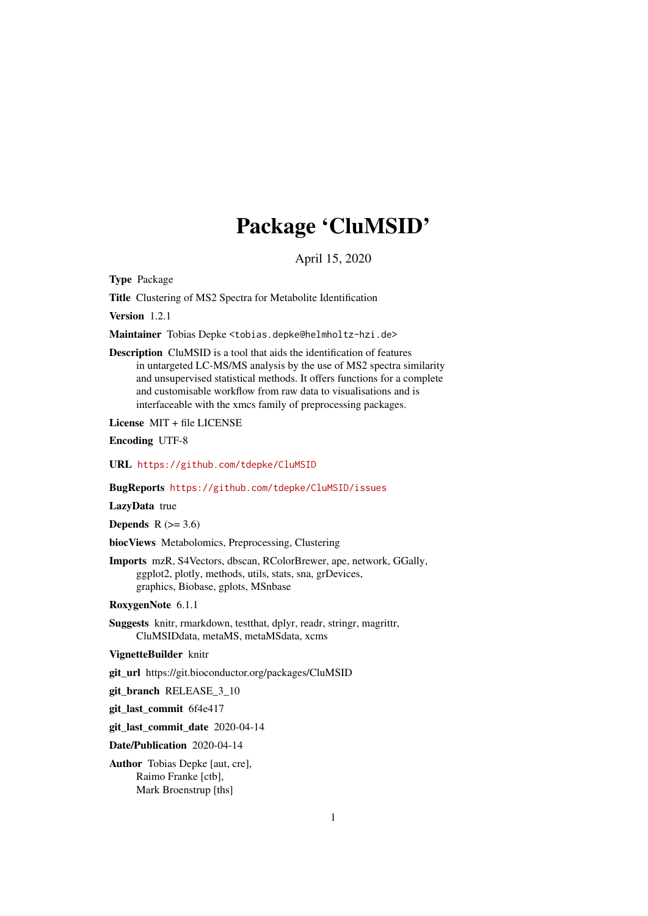# Package 'CluMSID'

April 15, 2020

<span id="page-0-0"></span>Type Package

Title Clustering of MS2 Spectra for Metabolite Identification

Version 1.2.1

Maintainer Tobias Depke <tobias.depke@helmholtz-hzi.de>

Description CluMSID is a tool that aids the identification of features in untargeted LC-MS/MS analysis by the use of MS2 spectra similarity and unsupervised statistical methods. It offers functions for a complete and customisable workflow from raw data to visualisations and is interfaceable with the xmcs family of preprocessing packages.

License MIT + file LICENSE

Encoding UTF-8

URL <https://github.com/tdepke/CluMSID>

BugReports <https://github.com/tdepke/CluMSID/issues>

LazyData true

Depends  $R$  ( $>= 3.6$ )

biocViews Metabolomics, Preprocessing, Clustering

Imports mzR, S4Vectors, dbscan, RColorBrewer, ape, network, GGally, ggplot2, plotly, methods, utils, stats, sna, grDevices, graphics, Biobase, gplots, MSnbase

RoxygenNote 6.1.1

Suggests knitr, rmarkdown, testthat, dplyr, readr, stringr, magrittr, CluMSIDdata, metaMS, metaMSdata, xcms

VignetteBuilder knitr

git\_url https://git.bioconductor.org/packages/CluMSID

git branch RELEASE 3 10

git\_last\_commit 6f4e417

git\_last\_commit\_date 2020-04-14

Date/Publication 2020-04-14

Author Tobias Depke [aut, cre], Raimo Franke [ctb], Mark Broenstrup [ths]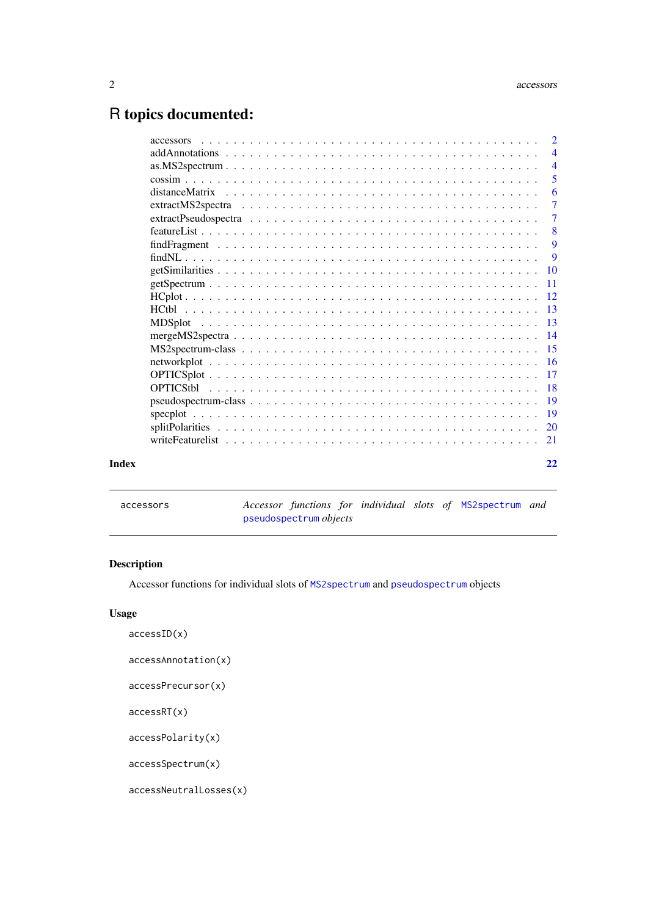## <span id="page-1-0"></span>R topics documented:

|       | $\overline{4}$ |
|-------|----------------|
|       | $\overline{4}$ |
|       | 5              |
|       | 6              |
|       | $\overline{7}$ |
|       | $\tau$         |
|       | $\overline{8}$ |
|       | -9             |
|       | - 9            |
|       |                |
|       |                |
|       |                |
|       |                |
|       |                |
|       |                |
|       |                |
|       |                |
|       |                |
|       |                |
|       |                |
|       |                |
|       |                |
|       |                |
|       |                |
| Index | 22             |

accessors *Accessor functions for individual slots of* [MS2spectrum](#page-14-1) *and* [pseudospectrum](#page-18-1) *objects*

#### Description

Accessor functions for individual slots of [MS2spectrum](#page-14-1) and [pseudospectrum](#page-18-1) objects

#### Usage

```
accessID(x)
```
accessAnnotation(x)

accessPrecursor(x)

accessRT(x)

accessPolarity(x)

accessSpectrum(x)

accessNeutralLosses(x)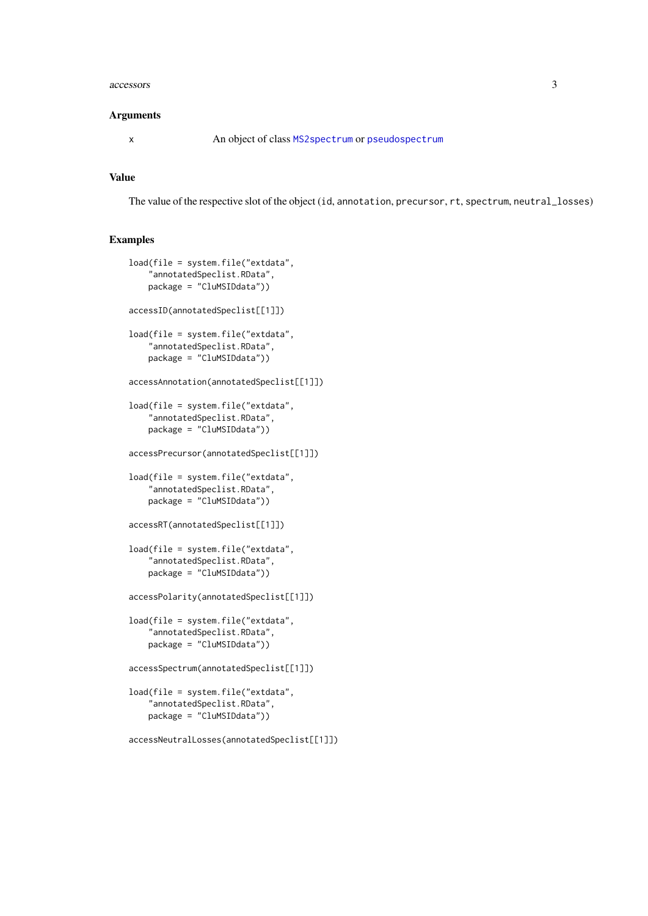#### <span id="page-2-0"></span>accessors 3

#### Arguments

x An object of class [MS2spectrum](#page-14-1) or [pseudospectrum](#page-18-1)

#### Value

The value of the respective slot of the object (id, annotation, precursor, rt, spectrum, neutral\_losses)

```
load(file = system.file("extdata",
    "annotatedSpeclist.RData",
    package = "CluMSIDdata"))
accessID(annotatedSpeclist[[1]])
load(file = system.file("extdata",
    "annotatedSpeclist.RData",
    package = "CluMSIDdata"))
accessAnnotation(annotatedSpeclist[[1]])
load(file = system.file("extdata",
    "annotatedSpeclist.RData",
    package = "CluMSIDdata"))
accessPrecursor(annotatedSpeclist[[1]])
load(file = system.file("extdata",
    "annotatedSpeclist.RData",
    package = "CluMSIDdata"))
accessRT(annotatedSpeclist[[1]])
load(file = system.file("extdata",
    "annotatedSpeclist.RData",
    package = "CluMSIDdata"))
accessPolarity(annotatedSpeclist[[1]])
load(file = system.file("extdata",
    "annotatedSpeclist.RData",
    package = "CluMSIDdata"))
accessSpectrum(annotatedSpeclist[[1]])
load(file = system.file("extdata",
    "annotatedSpeclist.RData",
    package = "CluMSIDdata"))
accessNeutralLosses(annotatedSpeclist[[1]])
```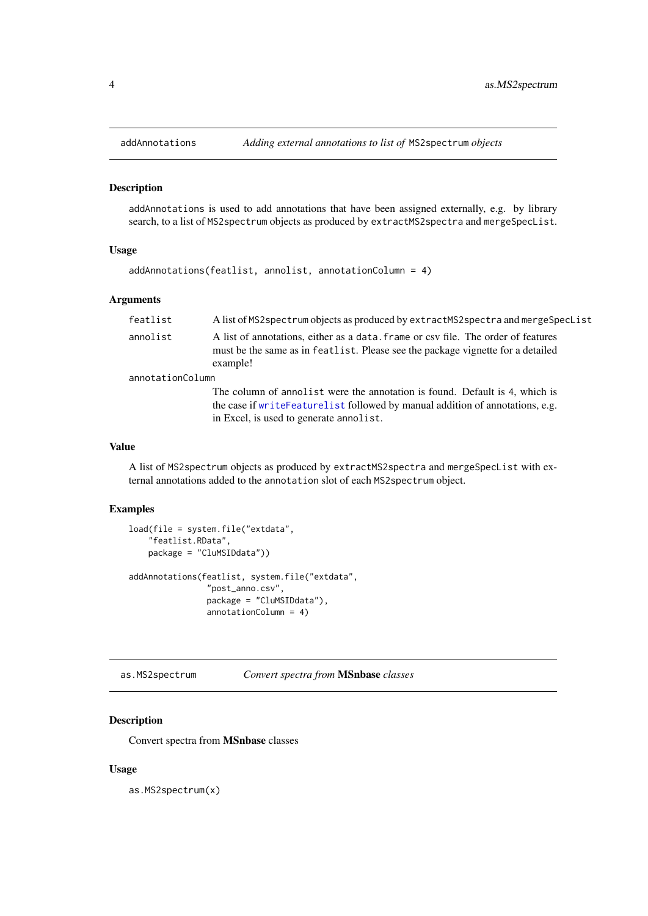<span id="page-3-0"></span>

#### Description

addAnnotations is used to add annotations that have been assigned externally, e.g. by library search, to a list of MS2spectrum objects as produced by extractMS2spectra and mergeSpecList.

#### Usage

```
addAnnotations(featlist, annolist, annotationColumn = 4)
```
#### Arguments

| featlist         | A list of MS2 spectrum objects as produced by extractMS2 spectra and merge SpecList                                                                                                                     |
|------------------|---------------------------------------------------------------------------------------------------------------------------------------------------------------------------------------------------------|
| annolist         | A list of annotations, either as a data. frame or csy file. The order of features<br>must be the same as in featlist. Please see the package vignette for a detailed<br>example!                        |
| annotationColumn |                                                                                                                                                                                                         |
|                  | The column of annolist were the annotation is found. Default is 4, which is<br>the case if writeFeaturelist followed by manual addition of annotations, e.g.<br>in Excel, is used to generate annolist. |

#### Value

A list of MS2spectrum objects as produced by extractMS2spectra and mergeSpecList with external annotations added to the annotation slot of each MS2spectrum object.

#### Examples

```
load(file = system.file("extdata",
    "featlist.RData",
    package = "CluMSIDdata"))
addAnnotations(featlist, system.file("extdata",
                "post_anno.csv",
                package = "CluMSIDdata"),
                annotationColumn = 4)
```
as.MS2spectrum *Convert spectra from* MSnbase *classes*

#### Description

Convert spectra from MSnbase classes

#### Usage

as.MS2spectrum(x)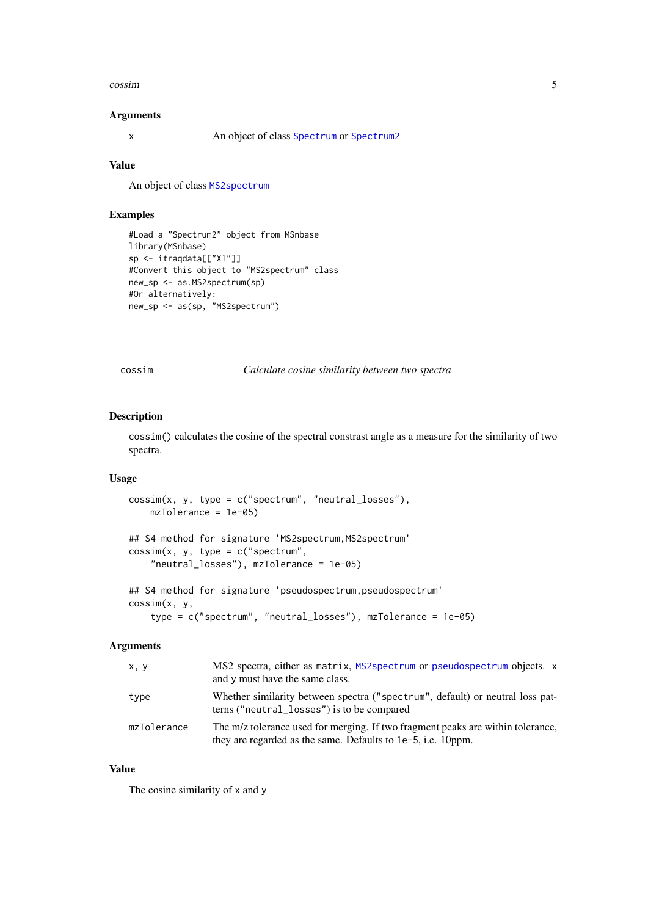#### <span id="page-4-0"></span>cossim to the contract of the contract of the contract of the contract of the contract of the contract of the contract of the contract of the contract of the contract of the contract of the contract of the contract of the

#### Arguments

x An object of class [Spectrum](#page-0-0) or [Spectrum2](#page-0-0)

#### Value

An object of class [MS2spectrum](#page-14-1)

#### Examples

```
#Load a "Spectrum2" object from MSnbase
library(MSnbase)
sp <- itraqdata[["X1"]]
#Convert this object to "MS2spectrum" class
new_sp <- as.MS2spectrum(sp)
#Or alternatively:
new_sp <- as(sp, "MS2spectrum")
```
<span id="page-4-1"></span>cossim *Calculate cosine similarity between two spectra*

#### Description

cossim() calculates the cosine of the spectral constrast angle as a measure for the similarity of two spectra.

#### Usage

```
\text{cossim}(x, y, \text{type} = c("spectrum", "neutral_losses"),mzTolerance = 1e-05)
## S4 method for signature 'MS2spectrum, MS2spectrum'
\cos\sin(x, y, \text{ type } = c("spectrum","neutral_losses"), mzTolerance = 1e-05)
## S4 method for signature 'pseudospectrum, pseudospectrum'
cossim(x, y,
    type = c("spectrum", "neutral_losses"), mzTolerance = 1e-05)
```
#### Arguments

| x, y        | MS2 spectra, either as matrix, MS2 spectrum or pseudospectrum objects. x<br>and y must have the same class.                                     |
|-------------|-------------------------------------------------------------------------------------------------------------------------------------------------|
| type        | Whether similarity between spectra ("spectrum", default) or neutral loss pat-<br>terns ("neutral_losses") is to be compared                     |
| mzTolerance | The m/z tolerance used for merging. If two fragment peaks are within tolerance,<br>they are regarded as the same. Defaults to 1e-5, i.e. 10ppm. |

#### Value

The cosine similarity of x and y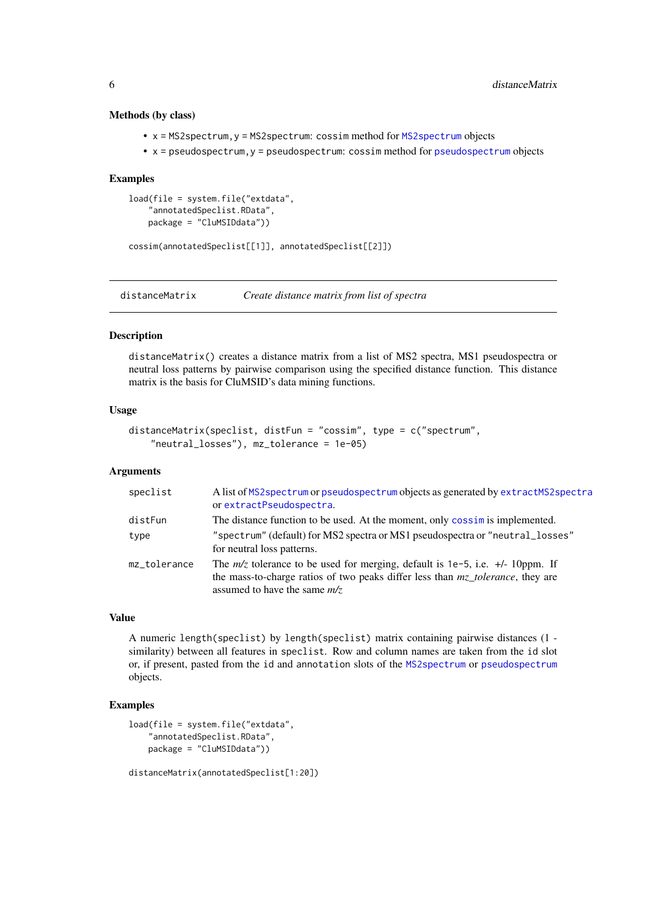#### Methods (by class)

- x = MS2spectrum,y = MS2spectrum: cossim method for [MS2spectrum](#page-14-1) objects
- x = pseudospectrum,y = pseudospectrum: cossim method for [pseudospectrum](#page-18-1) objects

#### Examples

```
load(file = system.file("extdata",
    "annotatedSpeclist.RData",
    package = "CluMSIDdata"))
```
cossim(annotatedSpeclist[[1]], annotatedSpeclist[[2]])

<span id="page-5-1"></span>distanceMatrix *Create distance matrix from list of spectra*

#### Description

distanceMatrix() creates a distance matrix from a list of MS2 spectra, MS1 pseudospectra or neutral loss patterns by pairwise comparison using the specified distance function. This distance matrix is the basis for CluMSID's data mining functions.

#### Usage

```
distanceMatrix(speclist, distFun = "cossim", type = c("spectrum",
    "neutral_losses"), mz_tolerance = 1e-05)
```
#### Arguments

| speclist     | A list of MS2 spectrum or pseudospectrum objects as generated by extractMS2 spectra<br>or extractPseudospectra.                                                                                                      |
|--------------|----------------------------------------------------------------------------------------------------------------------------------------------------------------------------------------------------------------------|
| distFun      | The distance function to be used. At the moment, only cossime is implemented.                                                                                                                                        |
| type         | "spectrum" (default) for MS2 spectra or MS1 pseudospectra or "neutral_losses"<br>for neutral loss patterns.                                                                                                          |
| mz_tolerance | The $m/z$ tolerance to be used for merging, default is 1e-5, i.e. $+\prime$ -10ppm. If<br>the mass-to-charge ratios of two peaks differ less than $mz$ <i>tolerance</i> , they are<br>assumed to have the same $m/z$ |

#### Value

A numeric length(speclist) by length(speclist) matrix containing pairwise distances (1 similarity) between all features in speclist. Row and column names are taken from the id slot or, if present, pasted from the id and annotation slots of the [MS2spectrum](#page-14-1) or [pseudospectrum](#page-18-1) objects.

#### Examples

```
load(file = system.file("extdata",
    "annotatedSpeclist.RData",
    package = "CluMSIDdata"))
```
distanceMatrix(annotatedSpeclist[1:20])

<span id="page-5-0"></span>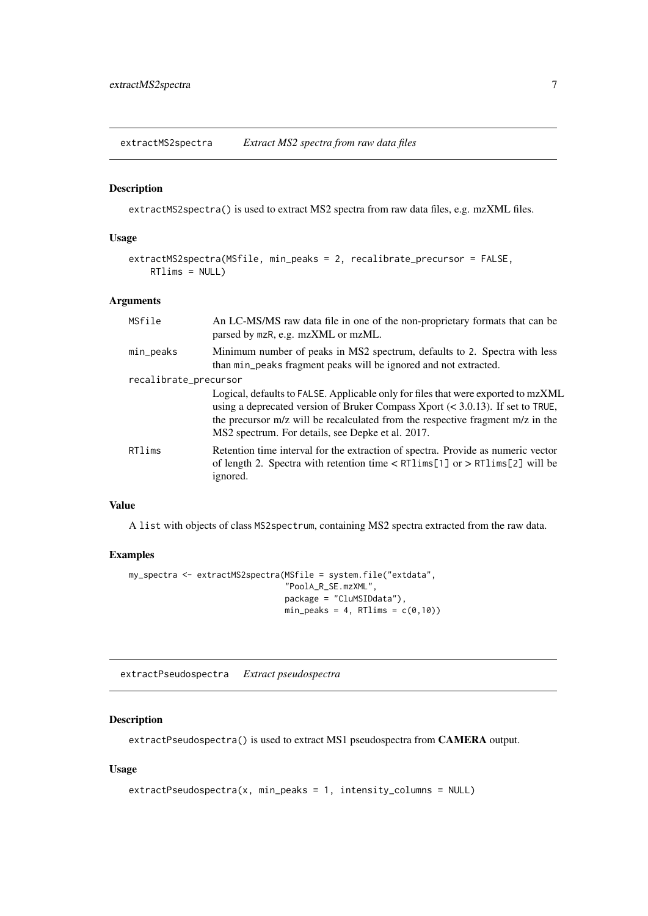<span id="page-6-1"></span><span id="page-6-0"></span>extractMS2spectra *Extract MS2 spectra from raw data files*

#### Description

extractMS2spectra() is used to extract MS2 spectra from raw data files, e.g. mzXML files.

#### Usage

```
extractMS2spectra(MSfile, min_peaks = 2, recalibrate_precursor = FALSE,
   RTIims = NULL
```
#### Arguments

| MSfile                | An LC-MS/MS raw data file in one of the non-proprietary formats that can be<br>parsed by mzR, e.g. mzXML or mzML.                                                                                                                                                                                             |
|-----------------------|---------------------------------------------------------------------------------------------------------------------------------------------------------------------------------------------------------------------------------------------------------------------------------------------------------------|
| min_peaks             | Minimum number of peaks in MS2 spectrum, defaults to 2. Spectra with less<br>than min_peaks fragment peaks will be ignored and not extracted.                                                                                                                                                                 |
| recalibrate_precursor |                                                                                                                                                                                                                                                                                                               |
|                       | Logical, defaults to FALSE. Applicable only for files that were exported to mzXML<br>using a deprecated version of Bruker Compass Xport $(< 3.0.13)$ . If set to TRUE,<br>the precursor m/z will be recalculated from the respective fragment m/z in the<br>MS2 spectrum. For details, see Depke et al. 2017. |
| RTlims                | Retention time interval for the extraction of spectra. Provide as numeric vector<br>of length 2. Spectra with retention time $\lt R$ RT1 ims[1] or $>$ RT1 ims[2] will be<br>ignored.                                                                                                                         |

#### Value

A list with objects of class MS2spectrum, containing MS2 spectra extracted from the raw data.

#### Examples

```
my_spectra <- extractMS2spectra(MSfile = system.file("extdata",
                                "PoolA_R_SE.mzXML",
                                package = "CluMSIDdata"),
                                min\_peaks = 4, RTlims = c(0,10)
```
<span id="page-6-2"></span>extractPseudospectra *Extract pseudospectra*

#### Description

extractPseudospectra() is used to extract MS1 pseudospectra from CAMERA output.

```
extractPseudospectra(x, min_peaks = 1, intensity_columns = NULL)
```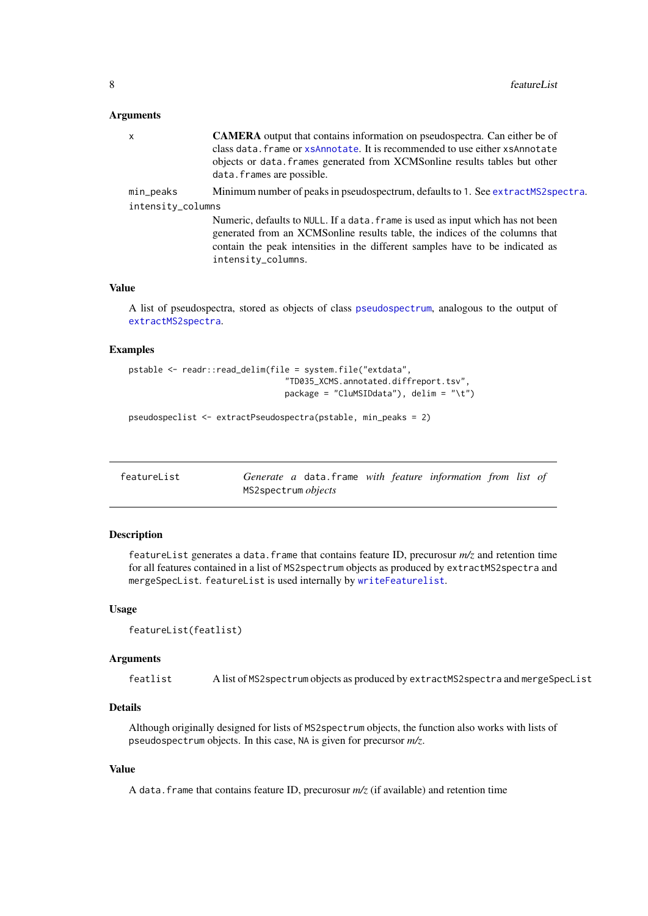#### <span id="page-7-0"></span>Arguments

| x                 | <b>CAMERA</b> output that contains information on pseudospectra. Can either be of<br>class data. frame or xsAnnotate. It is recommended to use either xsAnnotate<br>objects or data. frames generated from XCMSonline results tables but other<br>data. frames are possible. |
|-------------------|------------------------------------------------------------------------------------------------------------------------------------------------------------------------------------------------------------------------------------------------------------------------------|
| min_peaks         | Minimum number of peaks in pseudospectrum, defaults to 1. See extractMS2spectra.                                                                                                                                                                                             |
| intensity_columns |                                                                                                                                                                                                                                                                              |
|                   | Numeric, defaults to NULL. If a data. frame is used as input which has not been<br>generated from an XCMS online results table, the indices of the columns that<br>contain the peak intensities in the different samples have to be indicated as<br>intensity_columns.       |

#### Value

A list of pseudospectra, stored as objects of class [pseudospectrum](#page-18-1), analogous to the output of [extractMS2spectra](#page-6-1).

#### Examples

```
pstable <- readr::read_delim(file = system.file("extdata",
                                "TD035_XCMS.annotated.diffreport.tsv",
                                package = "CluMSIDdata"), delim = "\t")
```
pseudospeclist <- extractPseudospectra(pstable, min\_peaks = 2)

<span id="page-7-1"></span>

| featureList |                            | Generate a data. frame with feature information from list of |  |  |  |
|-------------|----------------------------|--------------------------------------------------------------|--|--|--|
|             | MS2spectrum <i>objects</i> |                                                              |  |  |  |

#### Description

featureList generates a data.frame that contains feature ID, precurosur  $m/z$  and retention time for all features contained in a list of MS2spectrum objects as produced by extractMS2spectra and mergeSpecList. featureList is used internally by [writeFeaturelist](#page-20-1).

#### Usage

```
featureList(featlist)
```
#### Arguments

featlist A list of MS2spectrum objects as produced by extractMS2spectra and mergeSpecList

#### Details

Although originally designed for lists of MS2spectrum objects, the function also works with lists of pseudospectrum objects. In this case, NA is given for precursor *m/z*.

#### Value

A data.frame that contains feature ID, precurosur *m/z* (if available) and retention time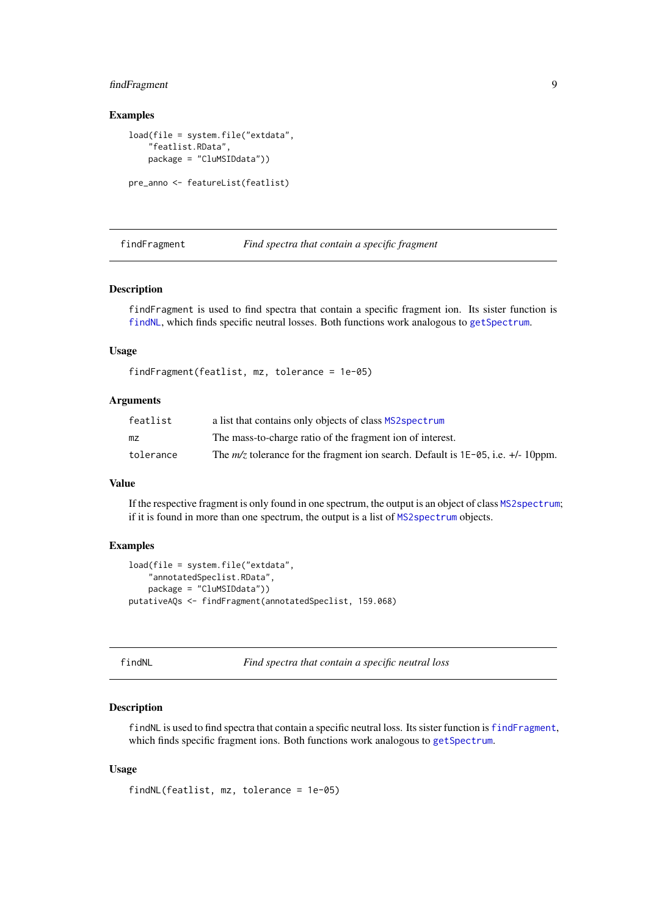#### <span id="page-8-0"></span>findFragment 9

#### Examples

```
load(file = system.file("extdata",
    "featlist.RData",
    package = "CluMSIDdata"))
pre_anno <- featureList(featlist)
```
<span id="page-8-2"></span>findFragment *Find spectra that contain a specific fragment*

#### Description

findFragment is used to find spectra that contain a specific fragment ion. Its sister function is [findNL](#page-8-1), which finds specific neutral losses. Both functions work analogous to [getSpectrum](#page-10-1).

#### Usage

```
findFragment(featlist, mz, tolerance = 1e-05)
```
#### Arguments

| featlist  | a list that contains only objects of class MS2spectrum                                  |
|-----------|-----------------------------------------------------------------------------------------|
| mz        | The mass-to-charge ratio of the fragment ion of interest.                               |
| tolerance | The $m/z$ tolerance for the fragment ion search. Default is $1E-05$ , i.e. $+/-10$ ppm. |

#### Value

If the respective fragment is only found in one spectrum, the output is an object of class [MS2spectrum](#page-14-1); if it is found in more than one spectrum, the output is a list of [MS2spectrum](#page-14-1) objects.

#### Examples

```
load(file = system.file("extdata",
    "annotatedSpeclist.RData",
    package = "CluMSIDdata"))
putativeAQs <- findFragment(annotatedSpeclist, 159.068)
```
<span id="page-8-1"></span>findNL *Find spectra that contain a specific neutral loss*

#### Description

findNL is used to find spectra that contain a specific neutral loss. Its sister function is [findFragment](#page-8-2), which finds specific fragment ions. Both functions work analogous to [getSpectrum](#page-10-1).

```
findNL(featlist, mz, tolerance = 1e-05)
```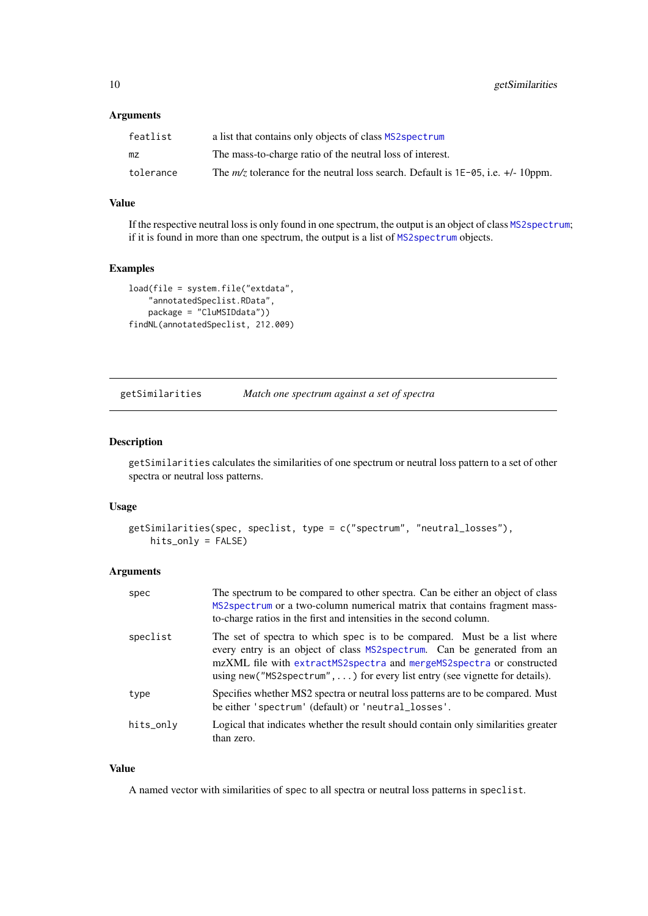#### <span id="page-9-0"></span>Arguments

| featlist  | a list that contains only objects of class MS2 spectrum                                   |
|-----------|-------------------------------------------------------------------------------------------|
| mz        | The mass-to-charge ratio of the neutral loss of interest.                                 |
| tolerance | The $m/z$ tolerance for the neutral loss search. Default is 1E-05, i.e. $+\prime$ -10ppm. |

#### Value

If the respective neutral loss is only found in one spectrum, the output is an object of class [MS2spectrum](#page-14-1); if it is found in more than one spectrum, the output is a list of [MS2spectrum](#page-14-1) objects.

#### Examples

```
load(file = system.file("extdata",
    "annotatedSpeclist.RData",
    package = "CluMSIDdata"))
findNL(annotatedSpeclist, 212.009)
```
getSimilarities *Match one spectrum against a set of spectra*

#### Description

getSimilarities calculates the similarities of one spectrum or neutral loss pattern to a set of other spectra or neutral loss patterns.

#### Usage

```
getSimilarities(spec, speclist, type = c("spectrum", "neutral_losses"),
   hits_only = FALSE)
```
#### Arguments

| spec      | The spectrum to be compared to other spectra. Can be either an object of class<br>MS2spectrum or a two-column numerical matrix that contains fragment mass-<br>to-charge ratios in the first and intensities in the second column.                                                                            |
|-----------|---------------------------------------------------------------------------------------------------------------------------------------------------------------------------------------------------------------------------------------------------------------------------------------------------------------|
| speclist  | The set of spectra to which spec is to be compared. Must be a list where<br>every entry is an object of class MS2 spectrum. Can be generated from an<br>mzXML file with extractMS2spectra and mergeMS2spectra or constructed<br>using new ("MS2 spectrum", ) for every list entry (see vignette for details). |
| type      | Specifies whether MS2 spectra or neutral loss patterns are to be compared. Must<br>be either 'spectrum' (default) or 'neutral_losses'.                                                                                                                                                                        |
| hits_only | Logical that indicates whether the result should contain only similarities greater<br>than zero.                                                                                                                                                                                                              |

#### Value

A named vector with similarities of spec to all spectra or neutral loss patterns in speclist.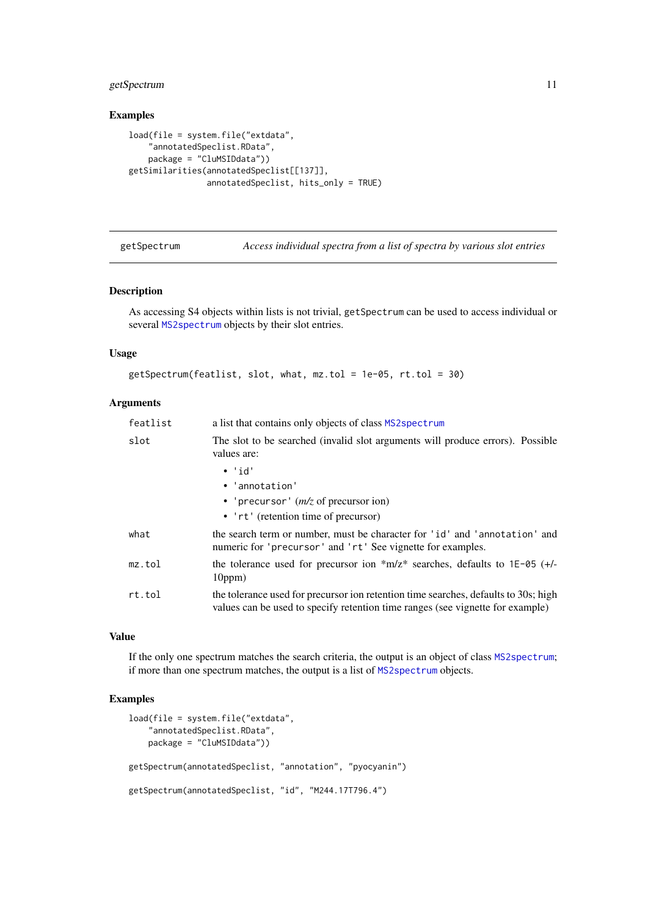#### <span id="page-10-0"></span>getSpectrum 11

#### Examples

```
load(file = system.file("extdata",
    "annotatedSpeclist.RData",
    package = "CluMSIDdata"))
getSimilarities(annotatedSpeclist[[137]],
                annotatedSpeclist, hits_only = TRUE)
```
getSpectrum *Access individual spectra from a list of spectra by various slot entries*

#### Description

As accessing S4 objects within lists is not trivial, getSpectrum can be used to access individual or several [MS2spectrum](#page-14-1) objects by their slot entries.

#### Usage

```
getSpectrum(featlist, slot, what, mz.tol = 1e-05, rt.tol = 30)
```
#### Arguments

| featlist | a list that contains only objects of class MS2spectrum                                                                                                                |  |
|----------|-----------------------------------------------------------------------------------------------------------------------------------------------------------------------|--|
| slot     | The slot to be searched (invalid slot arguments will produce errors). Possible<br>values are:                                                                         |  |
|          | $\cdot$ 'id'<br>• 'annotation'<br>• 'precursor' $(m/z)$ of precursor ion)<br>• 'rt' (retention time of precursor)                                                     |  |
| what     | the search term or number, must be character for 'id' and 'annotation' and<br>numeric for 'precursor' and 'rt' See vignette for examples.                             |  |
| mz.tol   | the tolerance used for precursor ion $m/z^*$ searches, defaults to 1E-05 (+/-<br>10ppm)                                                                               |  |
| rt.tol   | the tolerance used for precursor ion retention time searches, defaults to 30s; high<br>values can be used to specify retention time ranges (see vignette for example) |  |

#### Value

If the only one spectrum matches the search criteria, the output is an object of class [MS2spectrum](#page-14-1); if more than one spectrum matches, the output is a list of [MS2spectrum](#page-14-1) objects.

```
load(file = system.file("extdata",
    "annotatedSpeclist.RData",
    package = "CluMSIDdata"))
getSpectrum(annotatedSpeclist, "annotation", "pyocyanin")
getSpectrum(annotatedSpeclist, "id", "M244.17T796.4")
```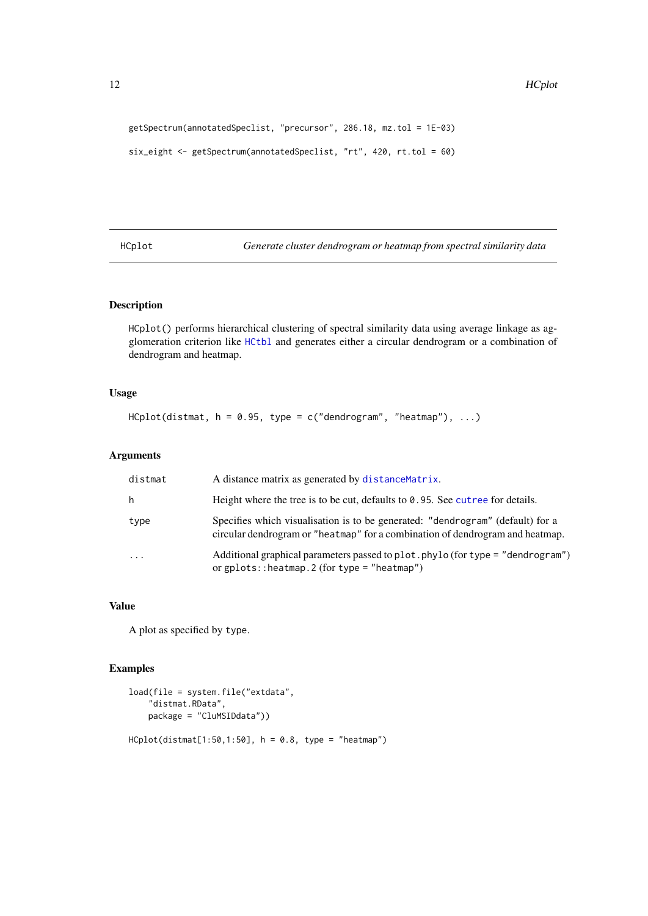```
getSpectrum(annotatedSpeclist, "precursor", 286.18, mz.tol = 1E-03)
six_eight <- getSpectrum(annotatedSpeclist, "rt", 420, rt.tol = 60)
```
<span id="page-11-1"></span>HCplot *Generate cluster dendrogram or heatmap from spectral similarity data*

#### Description

HCplot() performs hierarchical clustering of spectral similarity data using average linkage as agglomeration criterion like [HCtbl](#page-12-1) and generates either a circular dendrogram or a combination of dendrogram and heatmap.

#### Usage

 $HCplot(distmat, h = 0.95, type = c("dendrogram", "heatmap"), ...)$ 

#### Arguments

| distmat  | A distance matrix as generated by distance Matrix.                                                                                                              |
|----------|-----------------------------------------------------------------------------------------------------------------------------------------------------------------|
| h        | Height where the tree is to be cut, defaults to $\theta$ . 95. See cutree for details.                                                                          |
| type     | Specifies which visualisation is to be generated: "dendrogram" (default) for a<br>circular dendrogram or "heatmap" for a combination of dendrogram and heatmap. |
| $\cdots$ | Additional graphical parameters passed to plot. phylo (for type = "dendrogram")<br>or $gplots$ ::heatmap. 2 (for type = "heatmap")                              |

#### Value

A plot as specified by type.

```
load(file = system.file("extdata",
    "distmat.RData",
    package = "CluMSIDdata"))
HCplot(distmat[1:50, 1:50], h = 0.8, type = "heatmap")
```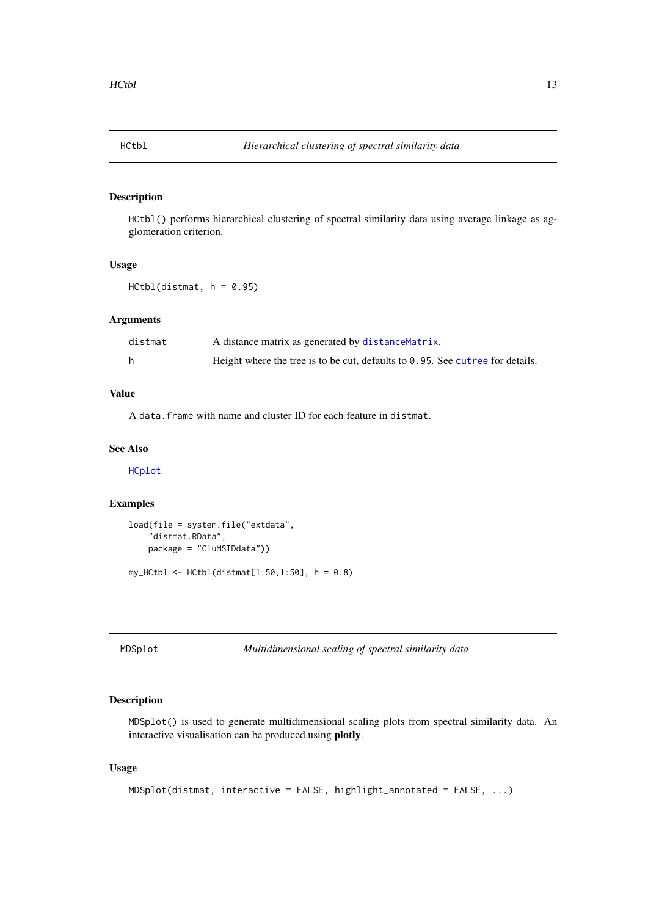<span id="page-12-1"></span><span id="page-12-0"></span>

#### Description

HCtbl() performs hierarchical clustering of spectral similarity data using average linkage as agglomeration criterion.

#### Usage

```
HCtb1(distmat, h = 0.95)
```
#### Arguments

| distmat | A distance matrix as generated by distance Matrix.                                      |
|---------|-----------------------------------------------------------------------------------------|
|         | Height where the tree is to be cut, defaults to $\theta$ . 95. See cut ree for details. |

#### Value

A data.frame with name and cluster ID for each feature in distmat.

#### See Also

[HCplot](#page-11-1)

#### Examples

```
load(file = system.file("extdata",
    "distmat.RData",
    package = "CluMSIDdata"))
my_HCtb1 \leq HCtb1(distmat[1:50,1:50], h = 0.8)
```
MDSplot *Multidimensional scaling of spectral similarity data*

#### Description

MDSplot() is used to generate multidimensional scaling plots from spectral similarity data. An interactive visualisation can be produced using plotly.

```
MDSplot(distmat, interactive = FALSE, highlight_annotated = FALSE, ...)
```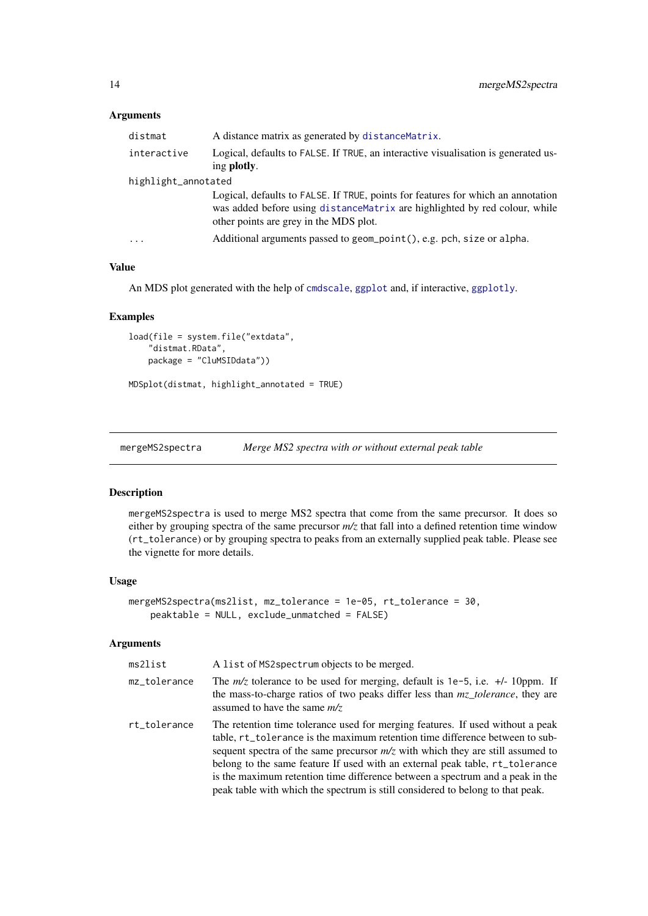#### <span id="page-13-0"></span>Arguments

| distmat             | A distance matrix as generated by distance Matrix.                                                                                                                                                        |
|---------------------|-----------------------------------------------------------------------------------------------------------------------------------------------------------------------------------------------------------|
| interactive         | Logical, defaults to FALSE. If TRUE, an interactive visualisation is generated us-<br>ing <b>plotly</b> .                                                                                                 |
| highlight_annotated |                                                                                                                                                                                                           |
|                     | Logical, defaults to FALSE. If TRUE, points for features for which an annotation<br>was added before using distance Matrix are highlighted by red colour, while<br>other points are grey in the MDS plot. |
| .                   | Additional arguments passed to geom_point(), e.g. pch, size or alpha.                                                                                                                                     |
|                     |                                                                                                                                                                                                           |

#### Value

An MDS plot generated with the help of [cmdscale](#page-0-0), [ggplot](#page-0-0) and, if interactive, [ggplotly](#page-0-0).

#### Examples

```
load(file = system.file("extdata",
    "distmat.RData",
    package = "CluMSIDdata"))
```
MDSplot(distmat, highlight\_annotated = TRUE)

<span id="page-13-1"></span>mergeMS2spectra *Merge MS2 spectra with or without external peak table*

#### Description

mergeMS2spectra is used to merge MS2 spectra that come from the same precursor. It does so either by grouping spectra of the same precursor *m/z* that fall into a defined retention time window (rt\_tolerance) or by grouping spectra to peaks from an externally supplied peak table. Please see the vignette for more details.

#### Usage

```
mergeMS2spectra(ms2list, mz_tolerance = 1e-05, rt_tolerance = 30,
   peaktable = NULL, exclude_unmatched = FALSE)
```
#### Arguments

| ms2list      | A list of MS2 spectrum objects to be merged.                                                                                                                                                                                                                                                                                                                                                                                                                                                          |
|--------------|-------------------------------------------------------------------------------------------------------------------------------------------------------------------------------------------------------------------------------------------------------------------------------------------------------------------------------------------------------------------------------------------------------------------------------------------------------------------------------------------------------|
| mz_tolerance | The $m/z$ tolerance to be used for merging, default is 1e-5, i.e. $+\prime$ -10ppm. If<br>the mass-to-charge ratios of two peaks differ less than mz_tolerance, they are<br>assumed to have the same $m/z$                                                                                                                                                                                                                                                                                            |
| rt_tolerance | The retention time tolerance used for merging features. If used without a peak<br>table, rt_tolerance is the maximum retention time difference between to sub-<br>sequent spectra of the same precursor $m/z$ with which they are still assumed to<br>belong to the same feature If used with an external peak table, rt_tolerance<br>is the maximum retention time difference between a spectrum and a peak in the<br>peak table with which the spectrum is still considered to belong to that peak. |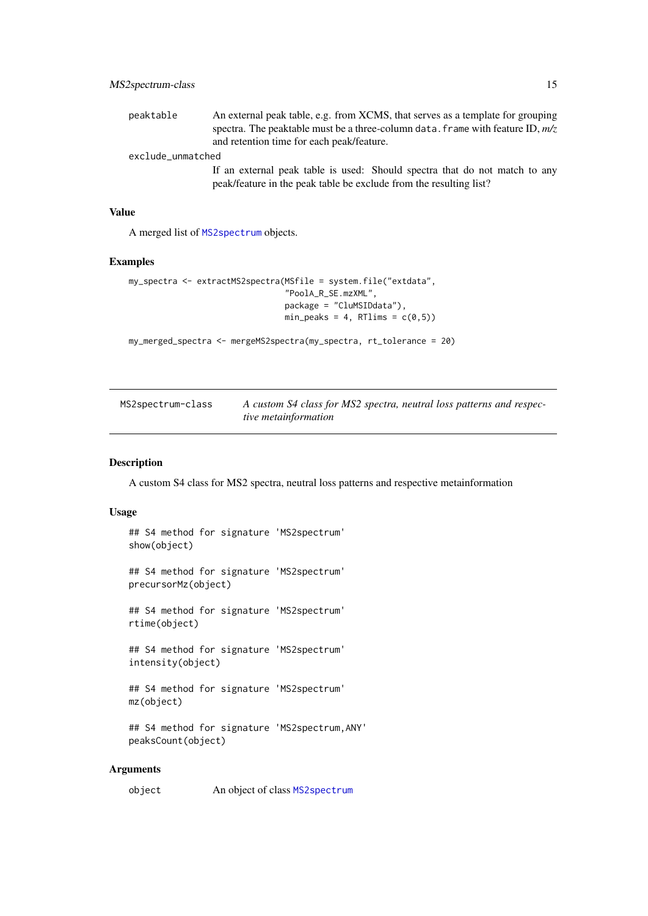<span id="page-14-0"></span>

| peaktable         | An external peak table, e.g. from XCMS, that serves as a template for grouping   |
|-------------------|----------------------------------------------------------------------------------|
|                   | spectra. The peaktable must be a three-column data. frame with feature ID, $m/z$ |
|                   | and retention time for each peak/feature.                                        |
| exclude_unmatched |                                                                                  |
|                   | If an external peak table is used: Should spectra that do not match to any       |
|                   | peak/feature in the peak table be exclude from the resulting list?               |

#### Value

A merged list of [MS2spectrum](#page-14-1) objects.

#### Examples

```
my_spectra <- extractMS2spectra(MSfile = system.file("extdata",
                                 "PoolA_R_SE.mzXML",
                                package = "CluMSIDdata"),
                                min\_peaks = 4, RTlims = c(0,5))
```
my\_merged\_spectra <- mergeMS2spectra(my\_spectra, rt\_tolerance = 20)

<span id="page-14-1"></span>

| MS2spectrum-class | A custom S4 class for MS2 spectra, neutral loss patterns and respec- |
|-------------------|----------------------------------------------------------------------|
|                   | tive metainformation                                                 |

#### Description

A custom S4 class for MS2 spectra, neutral loss patterns and respective metainformation

#### Usage

```
## S4 method for signature 'MS2spectrum'
show(object)
## S4 method for signature 'MS2spectrum'
precursorMz(object)
## S4 method for signature 'MS2spectrum'
rtime(object)
## S4 method for signature 'MS2spectrum'
intensity(object)
## S4 method for signature 'MS2spectrum'
mz(object)
## S4 method for signature 'MS2spectrum,ANY'
peaksCount(object)
```
#### Arguments

object An object of class [MS2spectrum](#page-14-1)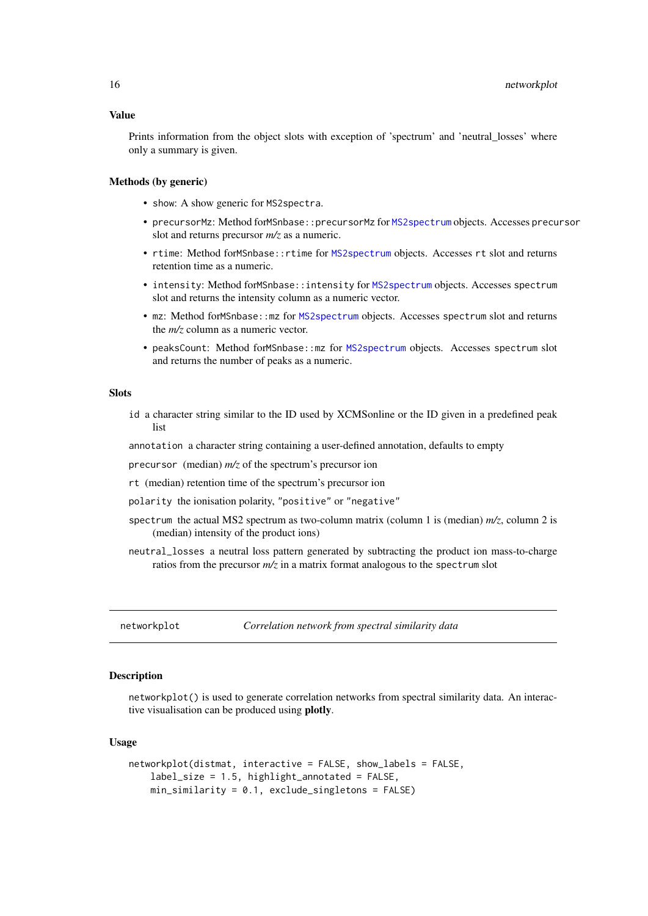#### <span id="page-15-0"></span>Value

Prints information from the object slots with exception of 'spectrum' and 'neutral\_losses' where only a summary is given.

#### Methods (by generic)

- show: A show generic for MS2spectra.
- precursorMz: Method forMSnbase::precursorMz for [MS2spectrum](#page-14-1) objects. Accesses precursor slot and returns precursor *m/z* as a numeric.
- rtime: Method forMSnbase::rtime for [MS2spectrum](#page-14-1) objects. Accesses rt slot and returns retention time as a numeric.
- intensity: Method forMSnbase::intensity for [MS2spectrum](#page-14-1) objects. Accesses spectrum slot and returns the intensity column as a numeric vector.
- mz: Method forMSnbase::mz for [MS2spectrum](#page-14-1) objects. Accesses spectrum slot and returns the *m/z* column as a numeric vector.
- peaksCount: Method forMSnbase::mz for [MS2spectrum](#page-14-1) objects. Accesses spectrum slot and returns the number of peaks as a numeric.

#### **Slots**

id a character string similar to the ID used by XCMSonline or the ID given in a predefined peak list

annotation a character string containing a user-defined annotation, defaults to empty

precursor (median) *m/z* of the spectrum's precursor ion

rt (median) retention time of the spectrum's precursor ion

- polarity the ionisation polarity, "positive" or "negative"
- spectrum the actual MS2 spectrum as two-column matrix (column 1 is (median) *m/z*, column 2 is (median) intensity of the product ions)
- neutral\_losses a neutral loss pattern generated by subtracting the product ion mass-to-charge ratios from the precursor *m/z* in a matrix format analogous to the spectrum slot

networkplot *Correlation network from spectral similarity data*

#### Description

networkplot() is used to generate correlation networks from spectral similarity data. An interactive visualisation can be produced using plotly.

```
networkplot(distmat, interactive = FALSE, show_labels = FALSE,
    label_size = 1.5, highlight_annotated = FALSE,
    min\_similarity = 0.1, exclude_singletons = FALSE)
```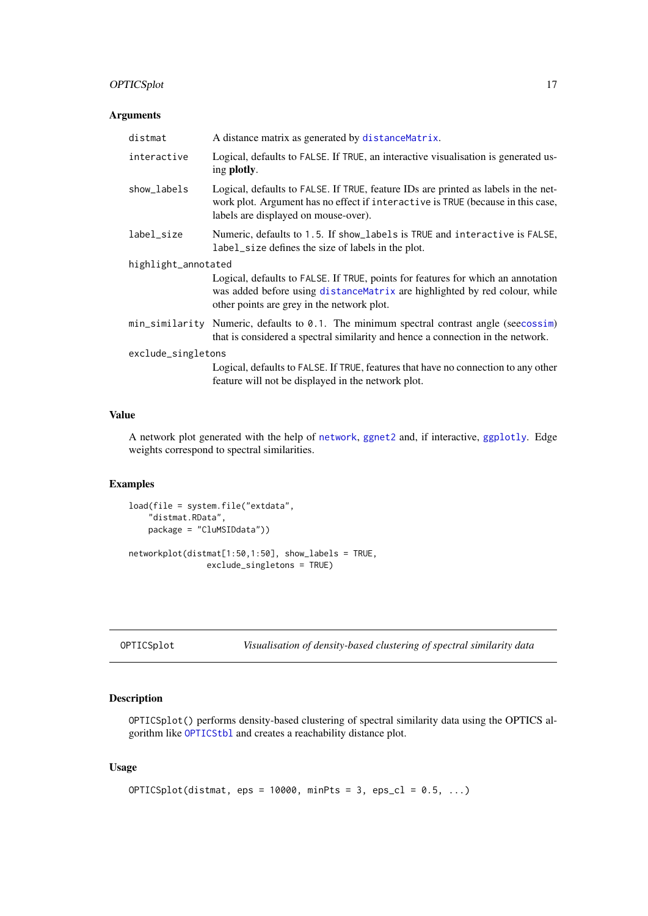#### <span id="page-16-0"></span>OPTICSplot 17

#### Arguments

| distmat             | A distance matrix as generated by distance Matrix.                                                                                                                                                            |  |
|---------------------|---------------------------------------------------------------------------------------------------------------------------------------------------------------------------------------------------------------|--|
| interactive         | Logical, defaults to FALSE. If TRUE, an interactive visualisation is generated us-<br>ing plotly.                                                                                                             |  |
| show_labels         | Logical, defaults to FALSE. If TRUE, feature IDs are printed as labels in the net-<br>work plot. Argument has no effect if interactive is TRUE (because in this case,<br>labels are displayed on mouse-over). |  |
| label_size          | Numeric, defaults to 1.5. If show_labels is TRUE and interactive is FALSE,<br>label_size defines the size of labels in the plot.                                                                              |  |
| highlight_annotated |                                                                                                                                                                                                               |  |
|                     | Logical, defaults to FALSE. If TRUE, points for features for which an annotation<br>was added before using distance Matrix are highlighted by red colour, while<br>other points are grey in the network plot. |  |
|                     | min_similarity Numeric, defaults to 0.1. The minimum spectral contrast angle (seecossim)<br>that is considered a spectral similarity and hence a connection in the network.                                   |  |
| exclude_singletons  |                                                                                                                                                                                                               |  |
|                     | Logical, defaults to FALSE. If TRUE, features that have no connection to any other<br>feature will not be displayed in the network plot.                                                                      |  |

#### Value

A network plot generated with the help of [network](#page-0-0), [ggnet2](#page-0-0) and, if interactive, [ggplotly](#page-0-0). Edge weights correspond to spectral similarities.

#### Examples

```
load(file = system.file("extdata",
    "distmat.RData",
   package = "CluMSIDdata"))
networkplot(distmat[1:50,1:50], show_labels = TRUE,
                exclude_singletons = TRUE)
```

```
Visualisation of density-based clustering of spectral similarity data
```
#### Description

OPTICSplot() performs density-based clustering of spectral similarity data using the OPTICS algorithm like [OPTICStbl](#page-17-1) and creates a reachability distance plot.

```
OPTICSplot(distmat, eps = 10000, minPts = 3, eps_cl = 0.5, \dots)
```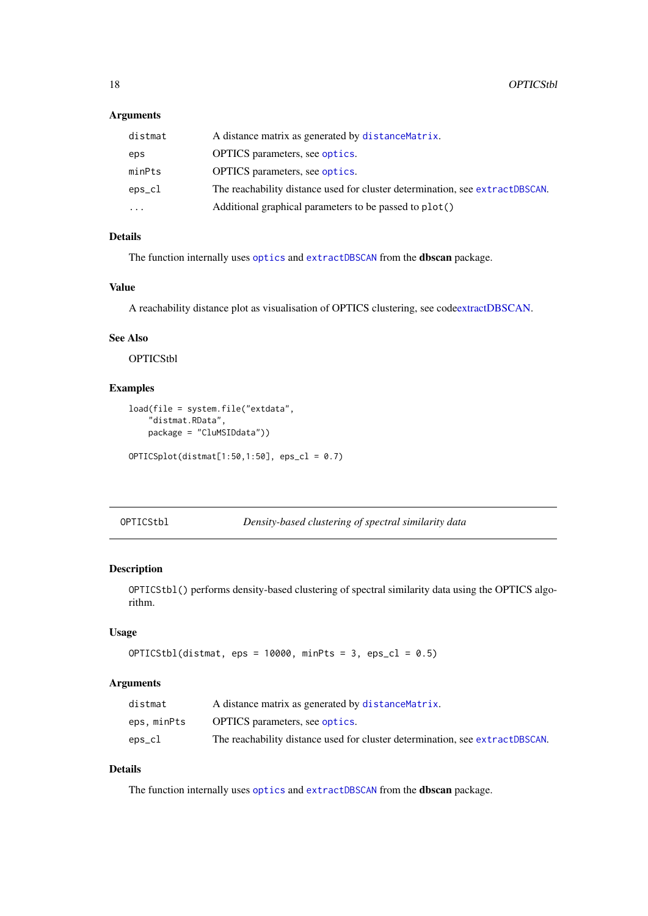#### <span id="page-17-0"></span>Arguments

| distmat   | A distance matrix as generated by distance Matrix.                           |
|-----------|------------------------------------------------------------------------------|
| eps       | <b>OPTICS</b> parameters, see optics.                                        |
| minPts    | <b>OPTICS</b> parameters, see optics.                                        |
| eps_cl    | The reachability distance used for cluster determination, see extractDBSCAN. |
| $\ddotsc$ | Additional graphical parameters to be passed to plot()                       |

#### Details

The function internally uses [optics](#page-0-0) and [extractDBSCAN](#page-0-0) from the dbscan package.

#### Value

A reachability distance plot as visualisation of OPTICS clustering, see cod[eextractDBSCAN.](#page-0-0)

#### See Also

**OPTICStbl** 

#### Examples

```
load(file = system.file("extdata",
    "distmat.RData",
    package = "CluMSIDdata"))
```
OPTICSplot(distmat[1:50,1:50], eps\_cl = 0.7)

<span id="page-17-1"></span>OPTICStbl *Density-based clustering of spectral similarity data*

#### Description

OPTICStbl() performs density-based clustering of spectral similarity data using the OPTICS algorithm.

#### Usage

```
OPTICStbl(distmat,eps = 10000, minPts = 3,eps_cl = 0.5)
```
#### Arguments

| distmat     | A distance matrix as generated by distance Matrix.                           |
|-------------|------------------------------------------------------------------------------|
| eps, minPts | <b>OPTICS</b> parameters, see optics.                                        |
| eps_cl      | The reachability distance used for cluster determination, see extractDBSCAN. |

#### Details

The function internally uses [optics](#page-0-0) and [extractDBSCAN](#page-0-0) from the dbscan package.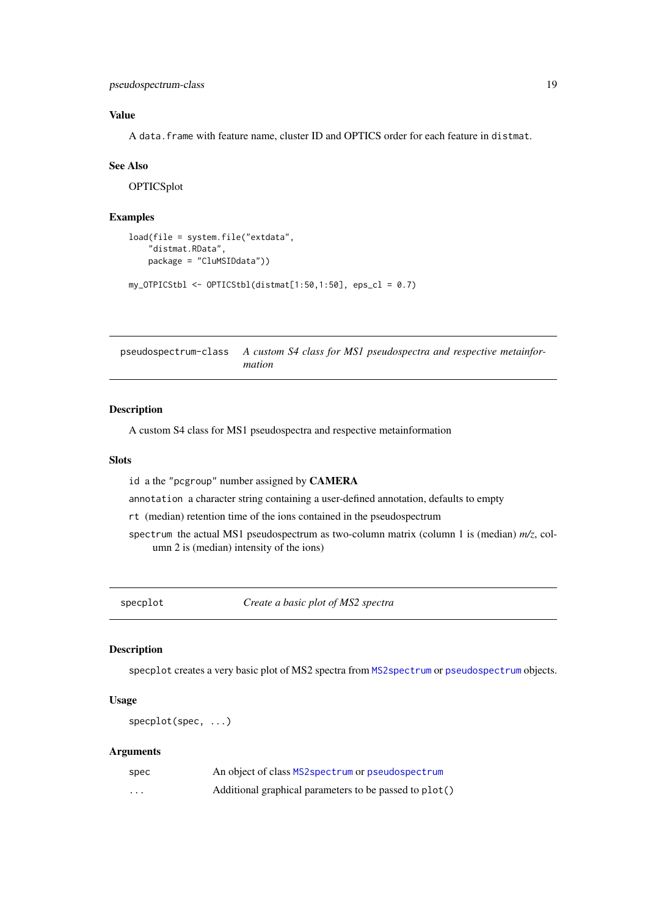<span id="page-18-0"></span>pseudospectrum-class 19

#### Value

A data.frame with feature name, cluster ID and OPTICS order for each feature in distmat.

#### See Also

**OPTICSplot** 

#### Examples

```
load(file = system.file("extdata",
    "distmat.RData",
    package = "CluMSIDdata"))
my_OTPICStbl \leftarrow OPTICStbl(distmat[1:50, 1:50], \text{eps_cl} = 0.7)
```
<span id="page-18-1"></span>pseudospectrum-class *A custom S4 class for MS1 pseudospectra and respective metainformation*

#### Description

A custom S4 class for MS1 pseudospectra and respective metainformation

#### **Slots**

id a the "pcgroup" number assigned by CAMERA

annotation a character string containing a user-defined annotation, defaults to empty

rt (median) retention time of the ions contained in the pseudospectrum

spectrum the actual MS1 pseudospectrum as two-column matrix (column 1 is (median) *m/z*, column 2 is (median) intensity of the ions)

specplot *Create a basic plot of MS2 spectra*

#### Description

specplot creates a very basic plot of MS2 spectra from [MS2spectrum](#page-14-1) or [pseudospectrum](#page-18-1) objects.

#### Usage

specplot(spec, ...)

#### Arguments

| spec     | An object of class MS2 spectrum or pseudospectrum      |
|----------|--------------------------------------------------------|
| $\cdots$ | Additional graphical parameters to be passed to plot() |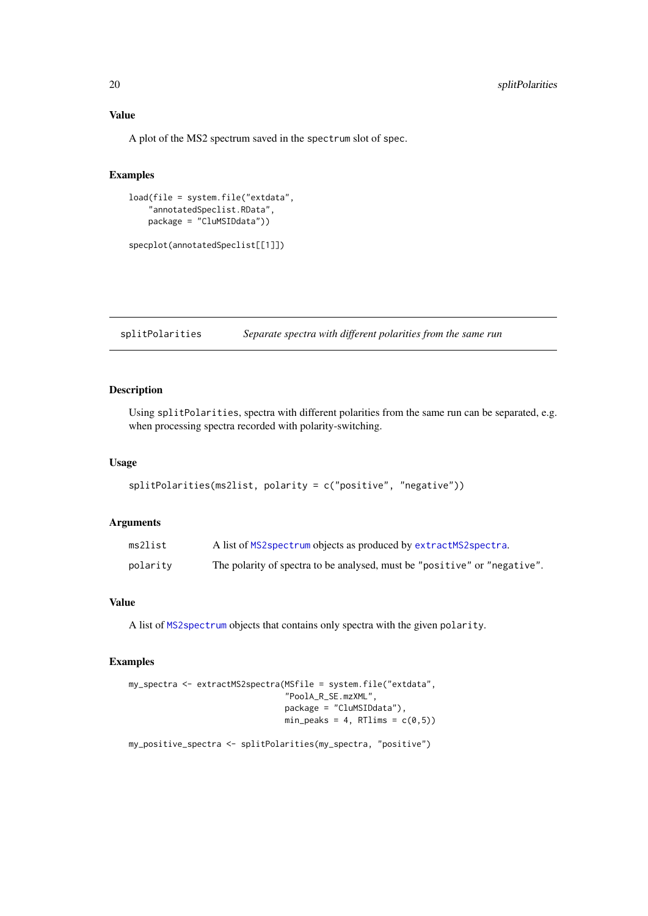#### Value

A plot of the MS2 spectrum saved in the spectrum slot of spec.

#### Examples

```
load(file = system.file("extdata",
    "annotatedSpeclist.RData",
    package = "CluMSIDdata"))
```
specplot(annotatedSpeclist[[1]])

splitPolarities *Separate spectra with different polarities from the same run*

#### Description

Using splitPolarities, spectra with different polarities from the same run can be separated, e.g. when processing spectra recorded with polarity-switching.

#### Usage

```
splitPolarities(ms2list, polarity = c("positive", "negative"))
```
#### Arguments

| ms2list  | A list of MS2 spectrum objects as produced by extractMS2 spectra.         |
|----------|---------------------------------------------------------------------------|
| polarity | The polarity of spectra to be analysed, must be "positive" or "negative". |

#### Value

A list of [MS2spectrum](#page-14-1) objects that contains only spectra with the given polarity.

```
my_spectra <- extractMS2spectra(MSfile = system.file("extdata",
                                "PoolA_R_SE.mzXML",
                                package = "CluMSIDdata"),
                                min\_peaks = 4, RTlims = c(0,5))
my_positive_spectra <- splitPolarities(my_spectra, "positive")
```
<span id="page-19-0"></span>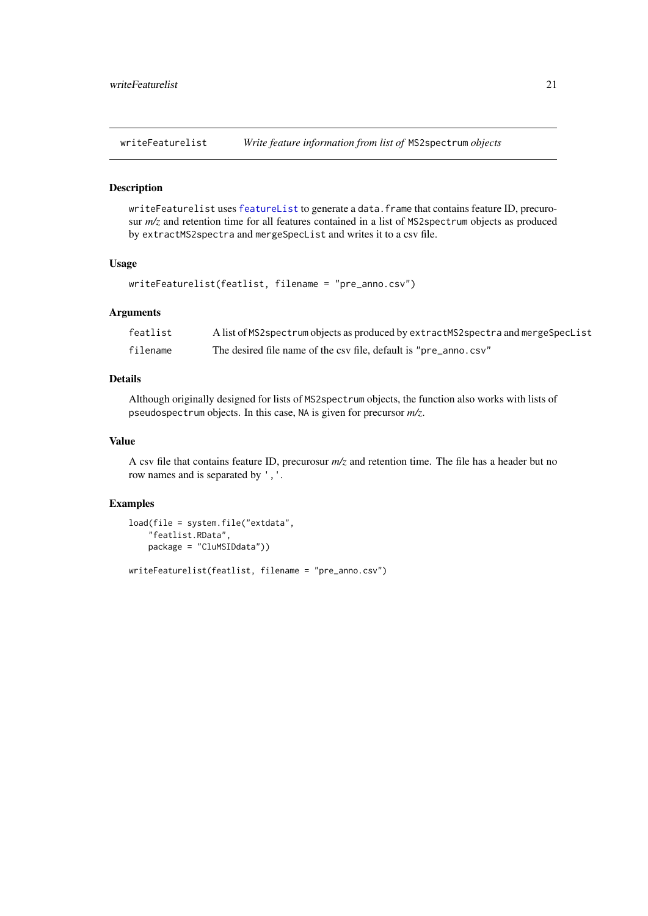<span id="page-20-1"></span><span id="page-20-0"></span>writeFeaturelist *Write feature information from list of* MS2spectrum *objects*

#### Description

writeFeaturelist uses [featureList](#page-7-1) to generate a data.frame that contains feature ID, precurosur  $m/z$  and retention time for all features contained in a list of MS2spectrum objects as produced by extractMS2spectra and mergeSpecList and writes it to a csv file.

#### Usage

```
writeFeaturelist(featlist, filename = "pre_anno.csv")
```
#### Arguments

| featlist | A list of MS2 spectrum objects as produced by extractMS2 spectra and merge SpecList |
|----------|-------------------------------------------------------------------------------------|
| filename | The desired file name of the csy file, default is "pre_anno.csy"                    |

#### Details

Although originally designed for lists of MS2spectrum objects, the function also works with lists of pseudospectrum objects. In this case, NA is given for precursor *m/z*.

#### Value

A csv file that contains feature ID, precurosur *m/z* and retention time. The file has a header but no row names and is separated by ','.

```
load(file = system.file("extdata",
    "featlist.RData",
    package = "CluMSIDdata"))
writeFeaturelist(featlist, filename = "pre_anno.csv")
```